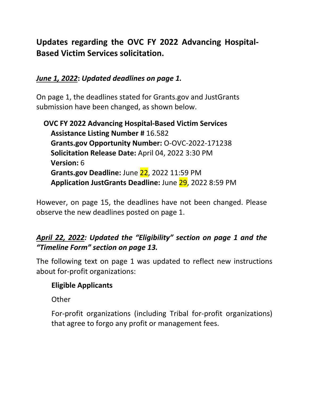# **Updates regarding the OVC FY 2022 Advancing Hospital-Based Victim Services solicitation.**

# *June 1, 2022***:** *Updated deadlines on page 1.*

On page 1, the deadlines stated for Grants.gov and JustGrants submission have been changed, as shown below.

**OVC FY 2022 Advancing Hospital-Based Victim Services Assistance Listing Number #** 16.582 **Grants.gov Opportunity Number:** O-OVC-2022-171238 **Solicitation Release Date:** April 04, 2022 3:30 PM **Version:** 6 **Grants.gov Deadline:** June 22, 2022 11:59 PM **Application JustGrants Deadline:** June 29, 2022 8:59 PM

However, on page 15, the deadlines have not been changed. Please observe the new deadlines posted on page 1.

# *April 22, 2022: Updated the "Eligibility" section on page 1 and the "Timeline Form" section on page 13.*

The following text on page 1 was updated to reflect new instructions about for-profit organizations:

# **Eligible Applicants**

**Other** 

For-profit organizations (including Tribal for-profit organizations) that agree to forgo any profit or management fees.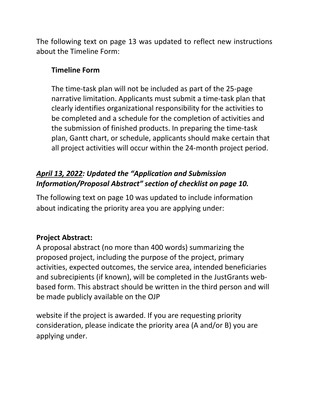The following text on page 13 was updated to reflect new instructions about the Timeline Form:

# **Timeline Form**

The time-task plan will not be included as part of the 25-page narrative limitation. Applicants must submit a time-task plan that clearly identifies organizational responsibility for the activities to be completed and a schedule for the completion of activities and the submission of finished products. In preparing the time-task plan, Gantt chart, or schedule, applicants should make certain that all project activities will occur within the 24-month project period.

# *April 13, 2022: Updated the "Application and Submission Information/Proposal Abstract" section of checklist on page 10.*

The following text on page 10 was updated to include information about indicating the priority area you are applying under:

# **Project Abstract:**

A proposal abstract (no more than 400 words) summarizing the proposed project, including the purpose of the project, primary activities, expected outcomes, the service area, intended beneficiaries and subrecipients (if known), will be completed in the JustGrants webbased form. This abstract should be written in the third person and will be made publicly available on the OJP

website if the project is awarded. If you are requesting priority consideration, please indicate the priority area (A and/or B) you are applying under.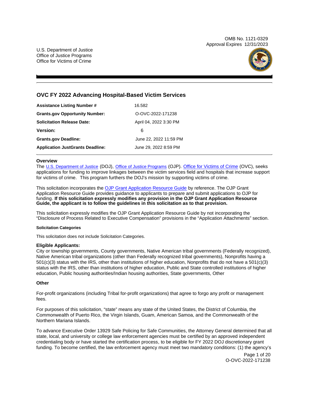OMB No. 1121-0329 Approval Expires 12/31/2023

U.S. Department of Justice Office of Justice Programs Office for Victims of Crime



# **OVC FY 2022 Advancing Hospital-Based Victim Services**

| <b>Assistance Listing Number #</b>      | 16.582                 |
|-----------------------------------------|------------------------|
| <b>Grants.gov Opportunity Number:</b>   | O-OVC-2022-171238      |
| Solicitation Release Date:              | April 04, 2022 3:30 PM |
| <b>Version:</b>                         | 6                      |
| <b>Grants.gov Deadline:</b>             | June 22, 2022 11:59 PM |
| <b>Application JustGrants Deadline:</b> | June 29, 2022 8:59 PM  |

# **Overview**

The [U.S. Department of Justice](https://www.usdoj.gov/) (DOJ), [Office of Justice Programs](https://www.ojp.usdoj.gov/) (OJP). [Office for Victims of Crime](http://www.ovc.ojp.gov/) (OVC), seeks applications for funding to improve linkages between the victim services field and hospitals that increase support for victims of crime. This program furthers the DOJ's mission by supporting victims of crime.

This solicitation incorporates the [OJP Grant Application Resource Guide](https://www.ojp.gov/funding/Apply/Resources/Grant-App-Resource-Guide.htm) by reference. The OJP Grant Application Resource Guide provides guidance to applicants to prepare and submit applications to OJP for funding. **If this solicitation expressly modifies any provision in the OJP Grant Application Resource Guide, the applicant is to follow the guidelines in this solicitation as to that provision.** 

This solicitation expressly modifies the OJP Grant Application Resource Guide by not incorporating the "Disclosure of Process Related to Executive Compensation" provisions in the "Application Attachments" section.

# **Solicitation Categories**

This solicitation does not include Solicitation Categories.

# **Eligible Applicants:**

City or township governments, County governments, Native American tribal governments (Federally recognized), Native American tribal organizations (other than Federally recognized tribal governments), Nonprofits having a 501(c)(3) status with the IRS, other than institutions of higher education, Nonprofits that do not have a 501(c)(3) status with the IRS, other than institutions of higher education, Public and State controlled institutions of higher education, Public housing authorities/Indian housing authorities, State governments, Other

# **Other**

For-profit organizations (including Tribal for-profit organizations) that agree to forgo any profit or management fees.

For purposes of this solicitation, "state" means any state of the United States, the District of Columbia, the Commonwealth of Puerto Rico, the Virgin Islands, Guam, American Samoa, and the Commonwealth of the Northern Mariana Islands.

To advance Executive Order 13929 Safe Policing for Safe Communities, the Attorney General determined that all state, local, and university or college law enforcement agencies must be certified by an approved independent credentialing body or have started the certification process, to be eligible for FY 2022 DOJ discretionary grant funding. To become certified, the law enforcement agency must meet two mandatory conditions: (1) the agency's

> Page 1 of 20 O-OVC-2022-171238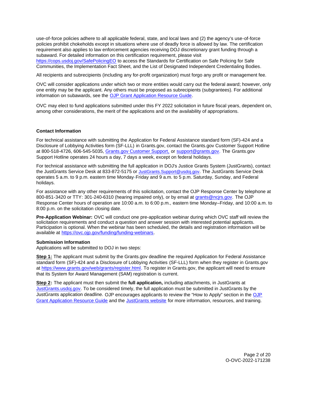<span id="page-3-0"></span>use-of-force policies adhere to all applicable federal, state, and local laws and (2) the agency's use-of-force policies prohibit chokeholds except in situations where use of deadly force is allowed by law. The certification requirement also applies to law enforcement agencies receiving DOJ discretionary grant funding through a subaward. For detailed information on this certification requirement, please visit

[https://cops.usdoj.gov/SafePolicingEO](https://cops.usdoj.gov/SafePolicingEO%20) to access the Standards for Certification on Safe Policing for Safe Communities, the Implementation Fact Sheet, and the List of Designated Independent Credentialing Bodies.

All recipients and subrecipients (including any for-profit organization) must forgo any profit or management fee.

OVC will consider applications under which two or more entities would carry out the federal award; however, only one entity may be the applicant. Any others must be proposed as subrecipients (subgrantees). For additional information on subawards, see the [OJP Grant Application Resource Guide.](https://www.ojp.gov/funding/Apply/Resources/Grant-App-Resource-Guide.htm)

OVC may elect to fund applications submitted under this FY 2022 solicitation in future fiscal years, dependent on, among other considerations, the merit of the applications and on the availability of appropriations.

# **Contact Information**

For technical assistance with submitting the Application for Federal Assistance standard form (SF)-424 and a Disclosure of Lobbying Activities form (SF-LLL) in [Grants.gov](https://Grants.gov), contact the [Grants.gov](https://Grants.gov) Customer Support Hotline at 800-518-4726, 606-545-5035, [Grants.gov Customer Support,](https://www.grants.gov/web/grants/support.html) or [support@grants.gov.](mailto:support@grants.gov) The [Grants.gov](https://Grants.gov) Support Hotline operates 24 hours a day, 7 days a week, except on federal holidays.

For technical assistance with submitting the full application in DOJ's Justice Grants System (JustGrants), contact the JustGrants Service Desk at 833-872-5175 or [JustGrants.Support@usdoj.gov.](mailto:JustGrants.Support@usdoj.gov) The JustGrants Service Desk operates 5 a.m. to 9 p.m. eastern time Monday-Friday and 9 a.m. to 5 p.m. Saturday, Sunday, and Federal holidays.

For assistance with any other requirements of this solicitation, contact the OJP Response Center by telephone at 800-851-3420 or TTY: 301-240-6310 (hearing impaired only), or by email at [grants@ncjrs.gov.](mailto:grants@ncjrs.gov) The OJP Response Center hours of operation are 10:00 a.m. to 6:00 p.m., eastern time Monday–Friday, and 10:00 a.m. to 8:00 p.m. on the solicitation closing date.

**Pre-Application Webinar:** OVC will conduct one pre-application webinar during which OVC staff will review the solicitation requirements and conduct a question and answer session with interested potential applicants. Participation is optional. When the webinar has been scheduled, the details and registration information will be available at [https://ovc.ojp.gov/funding/funding-webinars.](https://ovc.ojp.gov/funding/funding-webinars)

#### **Submission Information**

Applications will be submitted to DOJ in two steps:

**Step 1:** The applicant must submit by the [Grants.gov](https://Grants.gov) deadline the required Application for Federal Assistance standard form (SF)-424 and a Disclosure of Lobbying Activities (SF-LLL) form when they register in [Grants.gov](https://Grants.gov) at [https://www.grants.gov/web/grants/register.html.](https://www.grants.gov/web/grants/register.html) To register in [Grants.gov](https://Grants.gov), the applicant will need to ensure that its System for Award Management (SAM) registration is current.

**Step 2:** The applicant must then submit the **full application,** including attachments, in JustGrants at [JustGrants.usdoj.gov.](https://justicegrants.usdoj.gov/) To be considered timely, the full application must be submitted in JustGrants by the JustGrants application deadline. OJP encourages applicants to review the "How to Apply" section in the [OJP](https://www.ojp.gov/funding/apply/ojp-grant-application-resource-guide#apply)  [Grant Application Resource Guide](https://www.ojp.gov/funding/apply/ojp-grant-application-resource-guide#apply) and the [JustGrants website](https://justicegrants.usdoj.gov/news) for more information, resources, and training.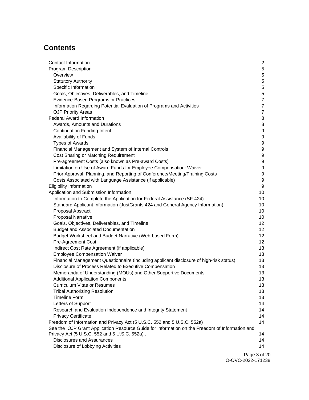# **Contents**

| Contact Information                                                                            | $\mathbf{2}$     |
|------------------------------------------------------------------------------------------------|------------------|
| <b>Program Description</b>                                                                     | 5                |
| Overview                                                                                       | 5                |
| <b>Statutory Authority</b>                                                                     | 5                |
| Specific Information                                                                           | 5                |
| Goals, Objectives, Deliverables, and Timeline                                                  | 5                |
| Evidence-Based Programs or Practices                                                           | $\overline{7}$   |
| Information Regarding Potential Evaluation of Programs and Activities                          | $\overline{7}$   |
| <b>OJP Priority Areas</b>                                                                      | 7                |
| <b>Federal Award Information</b>                                                               | 8                |
| Awards, Amounts and Durations                                                                  | 8                |
| <b>Continuation Funding Intent</b>                                                             | 9                |
| Availability of Funds                                                                          | 9                |
| <b>Types of Awards</b>                                                                         | 9                |
| Financial Management and System of Internal Controls                                           | 9                |
| Cost Sharing or Matching Requirement                                                           | 9                |
| Pre-agreement Costs (also known as Pre-award Costs)                                            | 9                |
| Limitation on Use of Award Funds for Employee Compensation: Waiver                             | 9                |
| Prior Approval, Planning, and Reporting of Conference/Meeting/Training Costs                   | 9                |
| Costs Associated with Language Assistance (if applicable)                                      | $\boldsymbol{9}$ |
| <b>Eligibility Information</b>                                                                 | $\boldsymbol{9}$ |
| Application and Submission Information                                                         | 10               |
| Information to Complete the Application for Federal Assistance (SF-424)                        | 10               |
| Standard Applicant Information (JustGrants 424 and General Agency Information)                 | 10               |
| Proposal Abstract                                                                              | 10               |
| <b>Proposal Narrative</b>                                                                      | 10               |
| Goals, Objectives, Deliverables, and Timeline                                                  | 12 <sup>°</sup>  |
| <b>Budget and Associated Documentation</b>                                                     | 12 <sup>°</sup>  |
| Budget Worksheet and Budget Narrative (Web-based Form)                                         | 12 <sup>°</sup>  |
| Pre-Agreement Cost                                                                             | 12 <sup>°</sup>  |
| Indirect Cost Rate Agreement (if applicable)                                                   | 13               |
| <b>Employee Compensation Waiver</b>                                                            | 13               |
| Financial Management Questionnaire (including applicant disclosure of high-risk status)        | 13               |
| Disclosure of Process Related to Executive Compensation                                        | 13               |
| Memoranda of Understanding (MOUs) and Other Supportive Documents                               | 13               |
| <b>Additional Application Components</b>                                                       | 13               |
| Curriculum Vitae or Resumes                                                                    | 13               |
| <b>Tribal Authorizing Resolution</b>                                                           | 13               |
| <b>Timeline Form</b>                                                                           | 13               |
| Letters of Support                                                                             | 14               |
| Research and Evaluation Independence and Integrity Statement                                   | 14               |
| <b>Privacy Certificate</b>                                                                     | 14               |
| Freedom of Information and Privacy Act (5 U.S.C. 552 and 5 U.S.C. 552a)                        | 14               |
| See the OJP Grant Application Resource Guide for information on the Freedom of Information and |                  |
| Privacy Act (5 U.S.C. 552 and 5 U.S.C. 552a).                                                  | 14               |
| <b>Disclosures and Assurances</b>                                                              | 14               |
| Disclosure of Lobbying Activities                                                              | 14               |
|                                                                                                |                  |

Page 3 of 20 O-OVC-2022-171238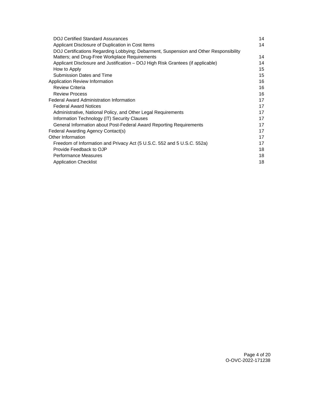| <b>DOJ Certified Standard Assurances</b>                                              |    |
|---------------------------------------------------------------------------------------|----|
| Applicant Disclosure of Duplication in Cost Items                                     | 14 |
| DOJ Certifications Regarding Lobbying; Debarment, Suspension and Other Responsibility |    |
| Matters; and Drug-Free Workplace Requirements                                         | 14 |
| Applicant Disclosure and Justification – DOJ High Risk Grantees (if applicable)       | 14 |
| How to Apply                                                                          | 15 |
| Submission Dates and Time                                                             | 15 |
| Application Review Information                                                        | 16 |
| <b>Review Criteria</b>                                                                | 16 |
| <b>Review Process</b>                                                                 | 16 |
| <b>Federal Award Administration Information</b>                                       | 17 |
| <b>Federal Award Notices</b>                                                          | 17 |
| Administrative, National Policy, and Other Legal Requirements                         | 17 |
| Information Technology (IT) Security Clauses                                          | 17 |
| General Information about Post-Federal Award Reporting Requirements                   | 17 |
| Federal Awarding Agency Contact(s)                                                    | 17 |
| Other Information                                                                     | 17 |
| Freedom of Information and Privacy Act (5 U.S.C. 552 and 5 U.S.C. 552a)               | 17 |
| Provide Feedback to OJP                                                               | 18 |
| <b>Performance Measures</b>                                                           | 18 |
| <b>Application Checklist</b>                                                          | 18 |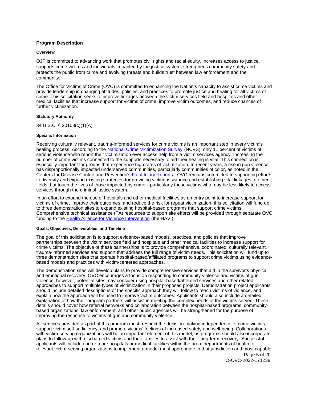# <span id="page-6-0"></span>**Program Description**

#### **Overview**

OJP is committed to advancing work that promotes civil rights and racial equity, increases access to justice, supports crime victims and individuals impacted by the justice system, strengthens community safety and protects the public from crime and evolving threats and builds trust between law enforcement and the community.

The Office for Victims of Crime (OVC) is committed to enhancing the Nation's capacity to assist crime victims and provide leadership in changing attitudes, policies, and practices to promote justice and healing for all victims of crime. This solicitation seeks to improve linkages between the victim services field and hospitals and other medical facilities that increase support for victims of crime, improve victim outcomes, and reduce chances of further victimization.

# **Statutory Authority**

34 U.S.C. § 20103(c)(1)(A)

# **Specific Information**

Centers for Disease Control and Prevention's **Fatal Injury Reports.** OVC remains committed to supporting efforts Receiving culturally relevant, trauma-informed services for crime victims is an important step in every victim's healing process. According to the [National Crime](https://www.bjs.gov/content/pub/pdf/cv18.pdf) [Victimization Survey](https://www.bjs.gov/content/pub/pdf/cv18.pdf) (NCVS), only 11 percent of victims of serious violence who report their victimization ever access help from a victim services agency. Increasing the number of crime victims connected to the supports necessary to aid their healing is vital. This connection is especially important for groups that experience high rates of victimization. In recent years, a rise in gun violence has disproportionally impacted underserved communities, particularly communities of color, as noted in the to diversify and expand existing strategies for providing victim assistance and establishing vital linkages to other fields that touch the lives of those impacted by crime—particularly those victims who may be less likely to access services through the criminal justice system.

In an effort to expand the use of hospitals and other medical facilities as an entry point to increase support for victims of crime, improve their outcomes, and reduce the risk for repeat victimization, this solicitation will fund up to three demonstration sites to expand existing hospital-based programs that support crime victims. Comprehensive technical assistance (TA) resources to support site efforts will be provided through separate OVC funding to the [Health Alliance for Violence Intervention](https://www.thehavi.org/) (the HAVI).

#### **Goals, Objectives, Deliverables, and Timeline**

The goal of this solicitation is to support evidence-based models, practices, and policies that improve partnerships between the victim services field and hospitals and other medical facilities to increase support for crime victims. The objective of these partnerships is to provide comprehensive, coordinated, culturally relevant, trauma-informed services and support that address the full range of victim needs. This solicitation will fund up to three demonstration sites that operate hospital-based/affiliated programs to support crime victims using evidencebased models and practices with victim-centered approaches.

The demonstration sites will develop plans to provide comprehensive services that aid in the survivor's physical and emotional recovery. OVC encourages a focus on responding to community violence and victims of gun violence; however, potential sites may consider using hospital-based/affiliated services and other related approaches to support multiple types of victimization in their proposed projects. Demonstration project applicants should include detailed descriptions of the specific approach they will follow to reach victims of violence, and explain how the approach will be used to improve victim outcomes. Applicants should also include a detailed explanation of how their program partners will assist in meeting the complex needs of the victims served. These details should cover how referral networks and collaboration between the hospital-based programs, communitybased organizations, law enforcement, and other public agencies will be strengthened for the purpose of improving the response to victims of gun and community violence.

All services provided as part of this program must: respect the decision-making independence of crime victims, support victim self-sufficiency, and promote victims' feelings of increased safety and well-being. Collaborations with victim-serving organizations will be an important element of this model, as programs should also incorporate plans to follow-up with discharged victims and their families to assist with their long-term recovery. Successful applicants will include one or more hospitals or medical facilities within the area, departments of health, or relevant victim-serving organizations to implement a model most appropriate in that jurisdiction and most capable

Page 5 of 20 O-OVC-2022-171238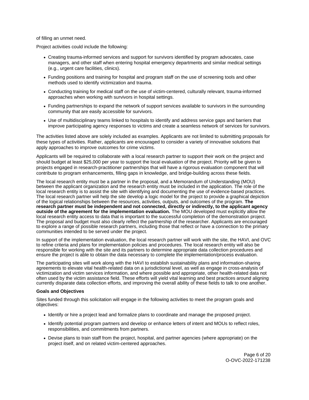of filling an unmet need.

Project activities could include the following:

- Creating trauma-informed services and support for survivors identified by program advocates, case managers, and other staff when entering hospital emergency departments and similar medical settings (e.g., urgent care facilities, clinics).
- Funding positions and training for hospital and program staff on the use of screening tools and other methods used to identify victimization and trauma.
- Conducting training for medical staff on the use of victim-centered, culturally relevant, trauma-informed approaches when working with survivors in hospital settings.
- Funding partnerships to expand the network of support services available to survivors in the surrounding community that are easily accessible for survivors.
- Use of multidisciplinary teams linked to hospitals to identify and address service gaps and barriers that improve participating agency responses to victims and create a seamless network of services for survivors.

The activities listed above are solely included as examples. Applicants are not limited to submitting proposals for these types of activities. Rather, applicants are encouraged to consider a variety of innovative solutions that apply approaches to improve outcomes for crime victims.

Applicants will be required to collaborate with a local research partner to support their work on the project and should budget at least \$25,000 per year to support the local evaluation of the project. Priority will be given to projects engaged in research-practitioner partnerships that will have a rigorous evaluation component that will contribute to program enhancements, filling gaps in knowledge, and bridge-building across these fields.

The local research entity must be a partner in the proposal, and a Memorandum of Understanding (MOU) between the applicant organization and the research entity must be included in the application. The role of the local research entity is to assist the site with identifying and documenting the use of evidence-based practices. The local research partner will help the site develop a logic model for the project to provide a graphical depiction of the logical relationships between the resources, activities, outputs, and outcomes of the program. **The research partner must be independent and not connected, directly or indirectly, to the applicant agency outside of the agreement for the implementation evaluation.** The MOU developed must explicitly allow the local research entity access to data that is important to the successful completion of the demonstration project. The proposal and budget must also clearly reflect the partnership of the researcher. Applicants are encouraged to explore a range of possible research partners, including those that reflect or have a connection to the primary communities intended to be served under the project.

In support of the implementation evaluation, the local research partner will work with the site, the HAVI, and OVC to refine criteria and plans for implementation policies and procedures. The local research entity will also be responsible for working with the site and its partners to determine appropriate data collection procedures and ensure the project is able to obtain the data necessary to complete the implementation/process evaluation.

The participating sites will work along with the HAVI to establish sustainability plans and information-sharing agreements to elevate vital health-related data on a jurisdictional level, as well as engage in cross-analysis of victimization and victim services information, and where possible and appropriate, other health-related data not often used by the victim assistance field. These efforts will yield vital learning and best practices around aligning currently disparate data collection efforts, and improving the overall ability of these fields to talk to one another.

# **Goals and Objectives**

Sites funded through this solicitation will engage in the following activities to meet the program goals and objectives:

- Identify or hire a project lead and formalize plans to coordinate and manage the proposed project.
- Identify potential program partners and develop or enhance letters of intent and MOUs to reflect roles, responsibilities, and commitments from partners.
- Devise plans to train staff from the project, hospital, and partner agencies (where appropriate) on the project itself, and on related victim-centered approaches.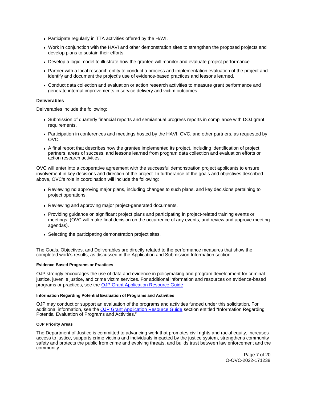- <span id="page-8-0"></span>Participate regularly in TTA activities offered by the HAVI.
- Work in conjunction with the HAVI and other demonstration sites to strengthen the proposed projects and develop plans to sustain their efforts.
- Develop a logic model to illustrate how the grantee will monitor and evaluate project performance.
- Partner with a local research entity to conduct a process and implementation evaluation of the project and identify and document the project's use of evidence-based practices and lessons learned.
- Conduct data collection and evaluation or action research activities to measure grant performance and generate internal improvements in service delivery and victim outcomes.

# **Deliverables**

Deliverables include the following:

- Submission of quarterly financial reports and semiannual progress reports in compliance with DOJ grant requirements.
- Participation in conferences and meetings hosted by the HAVI, OVC, and other partners, as requested by OVC.
- A final report that describes how the grantee implemented its project, including identification of project partners, areas of success, and lessons learned from program data collection and evaluation efforts or action research activities.

OVC will enter into a cooperative agreement with the successful demonstration project applicants to ensure involvement in key decisions and direction of the project. In furtherance of the goals and objectives described above, OVC's role in coordination will include the following:

- Reviewing nd approving major plans, including changes to such plans, and key decisions pertaining to project operations.
- Reviewing and approving major project-generated documents.
- Providing guidance on significant project plans and participating in project-related training events or meetings. (OVC will make final decision on the occurrence of any events, and review and approve meeting agendas).
- Selecting the participating demonstration project sites.

The Goals, Objectives, and Deliverables are directly related to the performance measures that show the completed work's results, as discussed in the Application and Submission Information section.

#### **Evidence-Based Programs or Practices**

OJP strongly encourages the use of data and evidence in policymaking and program development for criminal justice, juvenile justice, and crime victim services. For additional information and resources on evidence-based programs or practices, see the [OJP Grant Application Resource Guide.](https://www.ojp.gov/funding/apply/ojp-grant-application-resource-guide#evidence-based)

#### **Information Regarding Potential Evaluation of Programs and Activities**

OJP may conduct or support an evaluation of the programs and activities funded under this solicitation. For additional information, see the [OJP Grant Application Resource Guide](https://www.ojp.gov/funding/apply/ojp-grant-application-resource-guide#potential-evaluation) section entitled "Information Regarding Potential Evaluation of Programs and Activities."

# **OJP Priority Areas**

The Department of Justice is committed to advancing work that promotes civil rights and racial equity, increases access to justice, supports crime victims and individuals impacted by the justice system, strengthens community safety and protects the public from crime and evolving threats, and builds trust between law enforcement and the community.

> Page 7 of 20 O-OVC-2022-171238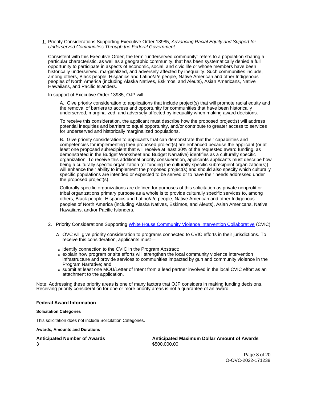<span id="page-9-0"></span>1. Priority Considerations Supporting Executive Order 13985, Advancing Racial Equity and Support for Underserved Communities Through the Federal Government

Consistent with this Executive Order, the term "underserved community" refers to a population sharing a particular characteristic, as well as a geographic community, that has been systematically denied a full opportunity to participate in aspects of economic, social, and civic life or whose members have been historically underserved, marginalized, and adversely affected by inequality. Such communities include, among others, Black people, Hispanics and Latino/a/e people, Native American and other Indigenous peoples of North America (including Alaska Natives, Eskimos, and Aleuts), Asian Americans, Native Hawaiians, and Pacific Islanders.

In support of Executive Order 13985, OJP will:

A. Give priority consideration to applications that include project(s) that will promote racial equity and the removal of barriers to access and opportunity for communities that have been historically underserved, marginalized, and adversely affected by inequality when making award decisions.

To receive this consideration, the applicant must describe how the proposed project(s) will address potential inequities and barriers to equal opportunity, and/or contribute to greater access to services for underserved and historically marginalized populations.

B. Give priority consideration to applicants that can demonstrate that their capabilities and competencies for implementing their proposed project(s) are enhanced because the applicant (or at least one proposed subrecipient that will receive at least 30% of the requested award funding, as demonstrated in the Budget Worksheet and Budget Narrative) identifies as a culturally specific organization. To receive this additional priority consideration, applicants applicants must describe how being a culturally specific organization (or funding the culturally specific subrecipient organization(s)) will enhance their ability to implement the proposed project(s) and should also specify which culturally specific populations are intended or expected to be served or to have their needs addressed under the proposed project(s).

Culturally specific organizations are defined for purposes of this solicitation as private nonprofit or tribal organizations primary purpose as a whole is to provide culturally specific services to, among others, Black people, Hispanics and Latino/a/e people, Native American and other Indigenous peoples of North America (including Alaska Natives, Eskimos, and Aleuts), Asian Americans, Native Hawaiians, and/or Pacific Islanders.

- 2. Priority Considerations Supporting [White House Community Violence Intervention Collaborative](https://www.whitehouse.gov/briefing-room/statements-releases/2022/02/16/readout-of-white-house-community-violence-intervention-collaborative-meeting-2/) (CVIC)
	- A. OVC will give priority consideration to programs connected to CVIC efforts in their jurisdictions. To receive this consideration, applicants must—
	- identify connection to the CVIC in the Program Abstract;
	- explain how program or site efforts will strengthen the local community violence intervention infrastructure and provide services to communities impacted by gun and community violence in the Program Narrative; and
	- submit at least one MOU/Letter of Intent from a lead partner involved in the local CVIC effort as an attachment to the application.

Note: Addressing these priority areas is one of many factors that OJP considers in making funding decisions. Receiving priority consideration for one or more priority areas is not a guarantee of an award.

#### **Federal Award Information**

#### **Solicitation Categories**

This solicitation does not include Solicitation Categories.

**Awards, Amounts and Durations** 

**Anticipated Number of Awards Anticipated Maximum Dollar Amount of Awards**  3 \$500,000.00

> Page 8 of 20 O-OVC-2022-171238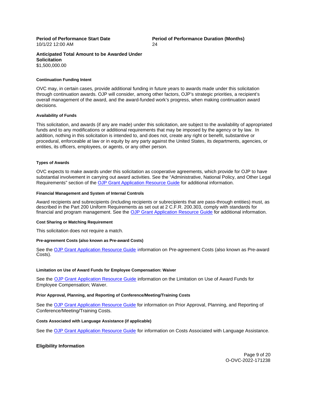10/1/22 12:00 AM 24

<span id="page-10-0"></span>**Period of Performance Start Date Period of Performance Duration (Months)** 

# **Anticipated Total Amount to be Awarded Under Solicitation**  \$1,500,000.00

#### **Continuation Funding Intent**

OVC may, in certain cases, provide additional funding in future years to awards made under this solicitation through continuation awards. OJP will consider, among other factors, OJP's strategic priorities, a recipient's overall management of the award, and the award-funded work's progress, when making continuation award decisions.

#### **Availability of Funds**

This solicitation, and awards (if any are made) under this solicitation, are subject to the availability of appropriated funds and to any modifications or additional requirements that may be imposed by the agency or by law. In addition, nothing in this solicitation is intended to, and does not, create any right or benefit, substantive or procedural, enforceable at law or in equity by any party against the United States, its departments, agencies, or entities, its officers, employees, or agents, or any other person.

#### **Types of Awards**

OVC expects to make awards under this solicitation as cooperative agreements, which provide for OJP to have substantial involvement in carrying out award activities. See the "Administrative, National Policy, and Other Legal Requirements" section of the [OJP Grant Application Resource Guide](https://www.ojp.gov/funding/apply/ojp-grant-application-resource-guide#administrative) for additional information.

#### **Financial Management and System of Internal Controls**

Award recipients and subrecipients (including recipients or subrecipients that are pass-through entities) must, as described in the Part 200 Uniform Requirements as set out at 2 C.F.R. 200.303, comply with standards for financial and program management. See the [OJP Grant Application Resource Guide](https://www.ojp.gov/funding/apply/ojp-grant-application-resource-guide#fm-internal-controls) for additional information.

#### **Cost Sharing or Matching Requirement**

This solicitation does not require a match.

#### **Pre-agreement Costs (also known as Pre-award Costs)**

See the [OJP Grant Application Resource Guide](https://www.ojp.gov/funding/apply/ojp-grant-application-resource-guide#pre-agreement-costs) information on Pre-agreement Costs (also known as Pre-award Costs).

#### **Limitation on Use of Award Funds for Employee Compensation: Waiver**

See the [OJP Grant Application Resource Guide](https://www.ojp.gov/funding/apply/ojp-grant-application-resource-guide#limitation-use-award) information on the Limitation on Use of Award Funds for Employee Compensation; Waiver.

# **Prior Approval, Planning, and Reporting of Conference/Meeting/Training Costs**

See the [OJP Grant Application Resource Guide](https://www.ojp.gov/funding/apply/ojp-grant-application-resource-guide#prior-approval) for information on Prior Approval, Planning, and Reporting of Conference/Meeting/Training Costs.

#### **Costs Associated with Language Assistance (if applicable)**

See the [OJP Grant Application Resource Guide](https://www.ojp.gov/funding/apply/ojp-grant-application-resource-guide#costs-associated) for information on Costs Associated with Language Assistance.

# **Eligibility Information**

Page 9 of 20 O-OVC-2022-171238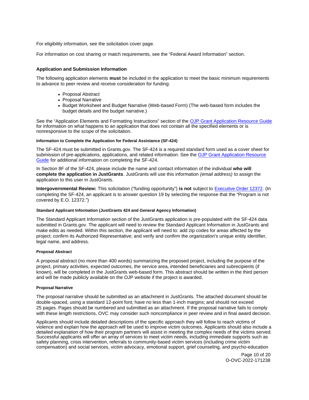<span id="page-11-0"></span>For eligibility information, see the solicitation cover page.

For information on cost sharing or match requirements, see the "Federal Award Information" section.

# **Application and Submission Information**

The following application elements **must** be included in the application to meet the basic minimum requirements to advance to peer review and receive consideration for funding:

- Proposal Abstract
- Proposal Narrative
- Budget Worksheet and Budget Narrative (Web-based Form) (The web-based form includes the budget details and the budget narrative.)

See the "Application Elements and Formatting Instructions" section of the [OJP Grant Application Resource Guide](https://www.ojp.gov/funding/apply/ojp-grant-application-resource-guide#application-elements)  for information on what happens to an application that does not contain all the specified elements or is nonresponsive to the scope of the solicitation.

# **Information to Complete the Application for Federal Assistance (SF-424)**

The SF-424 must be submitted in [Grants.gov](https://Grants.gov). The SF-424 is a required standard form used as a cover sheet for submission of pre-applications, applications, and related information. See the [OJP Grant Application Resource](https://www.ojp.gov/funding/apply/ojp-grant-application-resource-guide#complete-application)  [Guide](https://www.ojp.gov/funding/apply/ojp-grant-application-resource-guide#complete-application) for additional information on completing the SF-424.

In Section 8F of the SF-424, please include the name and contact information of the individual **who will complete the application in JustGrants**. JustGrants will use this information (email address) to assign the application to this user in JustGrants.

**Intergovernmental Review:** This solicitation ("funding opportunity") **is not** subject to [Executive Order 12372.](https://www.archives.gov/federal-register/codification/executive-order/12372.html) (In completing the SF-424, an applicant is to answer question 19 by selecting the response that the "Program is not covered by E.O. 12372.")

#### **Standard Applicant Information (JustGrants 424 and General Agency Information)**

The Standard Applicant Information section of the JustGrants application is pre-populated with the SF-424 data submitted in [Grants.gov.](https://Grants.gov) The applicant will need to review the Standard Applicant Information in JustGrants and make edits as needed. Within this section, the applicant will need to: add zip codes for areas affected by the project; confirm its Authorized Representative; and verify and confirm the organization's unique entity identifier, legal name, and address.

# **Proposal Abstract**

A proposal abstract (no more than 400 words) summarizing the proposed project, including the purpose of the project, primary activities, expected outcomes, the service area, intended beneficiaries and subrecipients (if known), will be completed in the JustGrants web-based form. This abstract should be written in the third person and will be made publicly available on the OJP website if the project is awarded.

#### **Proposal Narrative**

The proposal narrative should be submitted as an attachment in JustGrants. The attached document should be double-spaced, using a standard 12-point font; have no less than 1-inch margins; and should not exceed 25 pages. Pages should be numbered and submitted as an attachment. If the proposal narrative fails to comply with these length restrictions, OVC may consider such noncompliance in peer review and in final award decision.

Applicants should include detailed descriptions of the specific approach they will follow to reach victims of violence and explain how the approach will be used to improve victim outcomes. Applicants should also include a detailed explanation of how their program partners will assist in meeting the complex needs of the victims served. Successful applicants will offer an array of services to meet victim needs, including immediate supports such as safety planning, crisis intervention, referrals to community-based victim services (including crime victim compensation) and social services, victim advocacy, emotional support, grief counseling, and psycho-education

> Page 10 of 20 O-OVC-2022-171238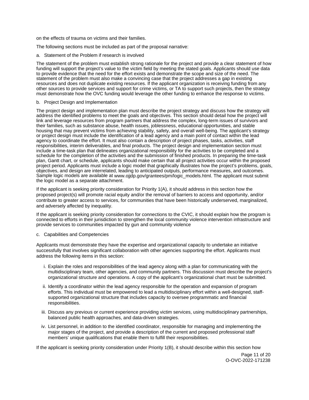on the effects of trauma on victims and their families.

The following sections must be included as part of the proposal narrative:

a. Statement of the Problem if research is involved

The statement of the problem must establish strong rationale for the project and provide a clear statement of how funding will support the project's value to the victim field by meeting the stated goals. Applicants should use data to provide evidence that the need for the effort exists and demonstrate the scope and size of the need. The statement of the problem must also make a convincing case that the project addresses a gap in existing resources and does not duplicate existing resources. If the applicant organization is receiving funding from any other sources to provide services and support for crime victims, or TA to support such projects, then the strategy must demonstrate how the OVC funding would leverage the other funding to enhance the response to victims.

# b. Project Design and Implementation

The project design and implementation plan must describe the project strategy and discuss how the strategy will address the identified problems to meet the goals and objectives. This section should detail how the project will link and leverage resources from program partners that address the complex, long-term issues of survivors and their families, such as substance abuse, health issues, joblessness, educational opportunities, and stable housing that may prevent victims from achieving stability, safety, and overall well-being. The applicant's strategy or project design must include the identification of a lead agency and a main point of contact within the lead agency to coordinate the effort. It must also contain a description of project phases, tasks, activities, staff responsibilities, interim deliverables, and final products. The project design and implementation section must include a time-task plan that delineates organizational responsibility for the activities to be completed and a schedule for the completion of the activities and the submission of finished products. In preparing the time-task plan, Gantt chart, or schedule, applicants should make certain that all project activities occur within the proposed project period. Applicants must include a logic model that graphically illustrates how the project's problems, goals, objectives, and design are interrelated, leading to anticipated outputs, performance measures, and outcomes. Sample logic models are available at [www.ojjdp.gov/grantees/pm/logic\\_models.html](www.ojjdp.gov/grantees/pm/logic_models.html). The applicant must submit the logic model as a separate attachment.

If the applicant is seeking priority consideration for Priority 1(A), it should address in this section how the proposed project(s) will promote racial equity and/or the removal of barriers to access and opportunity, and/or contribute to greater access to services, for communities that have been historically underserved, marginalized, and adversely affected by inequality.

If the applicant is seeking priority consideration for connections to the CVIC, it should explain how the program is connected to efforts in their jurisdiction to strengthen the local community violence intervention infrastructure and provide services to communities impacted by gun and community violence

#### c. Capabilities and Competencies

Applicants must demonstrate they have the expertise and organizational capacity to undertake an initiative successfully that involves significant collaboration with other agencies supporting the effort. Applicants must address the following items in this section:

- i. Explain the roles and responsibilities of the lead agency along with a plan for communicating with the multidisciplinary team, other agencies, and community partners. This discussion must describe the project's organizational structure and operations. A copy of the applicant's organizational chart must be submitted.
- ii. Identify a coordinator within the lead agency responsible for the operation and expansion of program efforts. This individual must be empowered to lead a multidisciplinary effort within a well-designed, staffsupported organizational structure that includes capacity to oversee programmatic and financial responsibilities.
- iii. Discuss any previous or current experience providing victim services, using multidisciplinary partnerships, balanced public health approaches, and data-driven strategies.
- iv. List personnel, in addition to the identified coordinator, responsible for managing and implementing the major stages of the project, and provide a description of the current and proposed professional staff members' unique qualifications that enable them to fulfill their responsibilities.

If the applicant is seeking priority consideration under Priority 1(B), it should describe within this section how

Page 11 of 20 O-OVC-2022-171238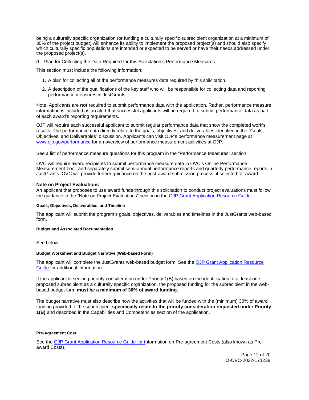<span id="page-13-0"></span>being a culturally specific organization (or funding a culturally specific subrecipient organization at a minimum of 30% of the project budget) will enhance its ability to implement the proposed project(s) and should also specify which culturally specific populations are intended or expected to be served or have their needs addressed under the proposed project(s).

d. Plan for Collecting the Data Required for this Solicitation's Performance Measures

This section must include the following information:

- 1. A plan for collecting all of the performance measures data required by this solicitation.
- 2. A description of the qualifications of the key staff who will be responsible for collecting data and reporting performance measures in JustGrants.

Note: Applicants are **not** required to submit performance data with the application. Rather, performance measure information is included as an alert that successful applicants will be required to submit performance data as part of each award's reporting requirements.

OJP will require each successful applicant to submit regular performance data that show the completed work's results. The performance data directly relate to the goals, objectives, and deliverables identified in the "Goals, Objectives, and Deliverables" discussion. Applicants can visit OJP's performance measurement page at [www.ojp.gov/performance](https://www.ojp.gov/performance) for an overview of performance measurement activities at OJP.

See a list of performance measure questions for this program in the "Performance Measures" section.

OVC will require award recipients to submit performance measure data in OVC's Online Performance Measurement Tool, and separately submit semi-annual performance reports and quarterly performance reports in JustGrants. OVC will provide further guidance on the post-award submission process, if selected for award.

# **Note on Project Evaluations**

An applicant that proposes to use award funds through this solicitation to conduct project evaluations must follow the guidance in the "Note on Project Evaluations" section in the [OJP Grant Application Resource Guide.](https://www.ojp.gov/funding/apply/ojp-grant-application-resource-guide#project-evaluations)

### **Goals, Objectives, Deliverables, and Timeline**

The applicant will submit the program's goals, objectives, deliverables and timelines in the JustGrants web-based form.

#### **Budget and Associated Documentation**

See below.

# **Budget Worksheet and Budget Narrative (Web-based Form)**

The applicant will complete the JustGrants web-based budget form. See the [OJP Grant Application Resource](https://www.ojp.gov/funding/apply/ojp-grant-application-resource-guide#budget-prep)  [Guide](https://www.ojp.gov/funding/apply/ojp-grant-application-resource-guide#budget-prep) for additional information.

If the applicant is seeking priority consideration under Priority 1(B) based on the identification of at least one proposed subrecipient as a culturally specific organization, the proposed funding for the subrecipient in the webbased budget form **must be a minimum of 30% of award funding.** 

The budget narrative must also describe how the activities that will be funded with the (minimum) 30% of award funding provided to the subrecipient **specifically relate to the priority consideration requested under Priority 1(B)** and described in the Capabilities and Competencies section of the application.

#### **Pre-Agreement Cost**

See the [OJP Grant Application Resource Guide](https://ojp.gov/funding/Apply/Resources/Grant-App-Resource-Guide.htm) for information on Pre-agreement Costs (also known as Preaward Costs).

> Page 12 of 20 O-OVC-2022-171238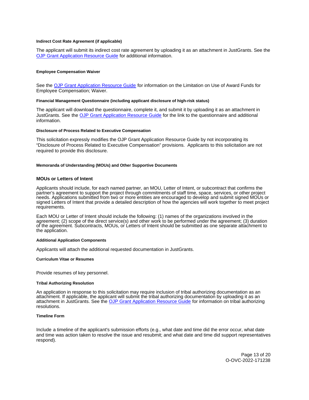### <span id="page-14-0"></span>**Indirect Cost Rate Agreement (if applicable)**

The applicant will submit its indirect cost rate agreement by uploading it as an attachment in JustGrants. See the [OJP Grant Application Resource Guide](https://www.ojp.gov/funding/apply/ojp-grant-application-resource-guide#indirect-cost) for additional information.

#### **Employee Compensation Waiver**

See the [OJP Grant Application Resource Guide](https://www.ojp.gov/funding/apply/ojp-grant-application-resource-guide#limitation-use-award) for information on the Limitation on Use of Award Funds for Employee Compensation; Waiver.

#### **Financial Management Questionnaire (including applicant disclosure of high-risk status)**

The applicant will download the questionnaire, complete it, and submit it by uploading it as an attachment in JustGrants. See the [OJP Grant Application Resource Guide](https://www.ojp.gov/funding/apply/ojp-grant-application-resource-guide#fm-internal-controls-questionnaire) for the link to the questionnaire and additional information.

# **Disclosure of Process Related to Executive Compensation**

This solicitation expressly modifies the OJP Grant Application Resource Guide by not incorporating its "Disclosure of Process Related to Executive Compensation" provisions. Applicants to this solicitation are not required to provide this disclosure.

#### **Memoranda of Understanding (MOUs) and Other Supportive Documents**

#### **MOUs or Letters of Intent**

Applicants should include, for each named partner, an MOU, Letter of Intent, or subcontract that confirms the partner's agreement to support the project through commitments of staff time, space, services, or other project needs. Applications submitted from two or more entities are encouraged to develop and submit signed MOUs or signed Letters of Intent that provide a detailed description of how the agencies will work together to meet project requirements.

Each MOU or Letter of Intent should include the following: (1) names of the organizations involved in the agreement; (2) scope of the direct service(s) and other work to be performed under the agreement; (3) duration of the agreement. Subcontracts, MOUs, or Letters of Intent should be submitted as one separate attachment to the application.

#### **Additional Application Components**

Applicants will attach the additional requested documentation in JustGrants.

#### **Curriculum Vitae or Resumes**

Provide resumes of key personnel.

#### **Tribal Authorizing Resolution**

An application in response to this solicitation may require inclusion of tribal authorizing documentation as an attachment. If applicable, the applicant will submit the tribal authorizing documentation by uploading it as an attachment in JustGrants. See the [OJP Grant Application Resource Guide](https://www.ojp.gov/funding/apply/ojp-grant-application-resource-guide#tribal-authorizing-resolution) for information on tribal authorizing resolutions.

#### **Timeline Form**

Include a timeline of the applicant's submission efforts (e.g., what date and time did the error occur, what date and time was action taken to resolve the issue and resubmit; and what date and time did support representatives respond).

> Page 13 of 20 O-OVC-2022-171238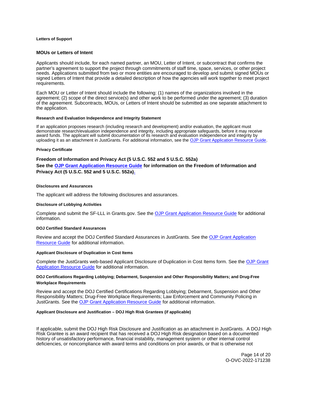#### <span id="page-15-0"></span>**Letters of Support**

# **MOUs or Letters of Intent**

Applicants should include, for each named partner, an MOU, Letter of Intent, or subcontract that confirms the partner's agreement to support the project through commitments of staff time, space, services, or other project needs. Applications submitted from two or more entities are encouraged to develop and submit signed MOUs or signed Letters of Intent that provide a detailed description of how the agencies will work together to meet project requirements.

Each MOU or Letter of Intent should include the following: (1) names of the organizations involved in the agreement; (2) scope of the direct service(s) and other work to be performed under the agreement; (3) duration of the agreement. Subcontracts, MOUs, or Letters of Intent should be submitted as one separate attachment to the application.

#### **Research and Evaluation Independence and Integrity Statement**

If an application proposes research (including research and development) and/or evaluation, the applicant must demonstrate research/evaluation independence and integrity, including appropriate safeguards, before it may receive award funds. The applicant will submit documentation of its research and evaluation independence and integrity by uploading it as an attachment in JustGrants. For additional information, see the [OJP Grant Application Resource Guide.](https://www.ojp.gov/funding/apply/ojp-grant-application-resource-guide#research-evaluation)

#### **Privacy Certificate**

#### **Freedom of Information and Privacy Act (5 U.S.C. 552 and 5 U.S.C. 552a)**

**See the [OJP Grant Application Resource Guide](https://ojp.gov/funding/Apply/Resources/Grant-App-Resource-Guide.htm) for information on the Freedom of Information and Privacy Act (5 U.S.C. 552 and 5 U.S.C. 552a).** 

#### **Disclosures and Assurances**

The applicant will address the following disclosures and assurances.

#### **Disclosure of Lobbying Activities**

Complete and submit the SF-LLL in [Grants.gov.](https://Grants.gov) See the [OJP Grant Application Resource Guide](https://www.ojp.gov/funding/apply/ojp-grant-application-resource-guide#disclosure-lobby) for additional information.

#### **DOJ Certified Standard Assurances**

Review and accept the DOJ Certified Standard Assurances in JustGrants. See the [OJP Grant Application](https://www.ojp.gov/funding/apply/ojp-grant-application-resource-guide#administrative)  [Resource Guide](https://www.ojp.gov/funding/apply/ojp-grant-application-resource-guide#administrative) for additional information.

#### **Applicant Disclosure of Duplication in Cost Items**

Complete the JustGrants web-based Applicant Disclosure of Duplication in Cost Items form. See the [OJP Grant](https://www.ojp.gov/funding/apply/ojp-grant-application-resource-guide#applicant-disclosure-pending-applications)  [Application Resource Guide](https://www.ojp.gov/funding/apply/ojp-grant-application-resource-guide#applicant-disclosure-pending-applications) for additional information.

# **DOJ Certifications Regarding Lobbying; Debarment, Suspension and Other Responsibility Matters; and Drug-Free Workplace Requirements**

Review and accept the DOJ Certified Certifications Regarding Lobbying; Debarment, Suspension and Other Responsibility Matters; Drug-Free Workplace Requirements; Law Enforcement and Community Policing in JustGrants. See the [OJP Grant Application Resource Guide](https://www.ojp.gov/funding/apply/ojp-grant-application-resource-guide#administrative) for additional information.

#### **Applicant Disclosure and Justification – DOJ High Risk Grantees (if applicable)**

If applicable, submit the DOJ High Risk Disclosure and Justification as an attachment in JustGrants. A DOJ High Risk Grantee is an award recipient that has received a DOJ High Risk designation based on a documented history of unsatisfactory performance, financial instability, management system or other internal control deficiencies, or noncompliance with award terms and conditions on prior awards, or that is otherwise not

> Page 14 of 20 O-OVC-2022-171238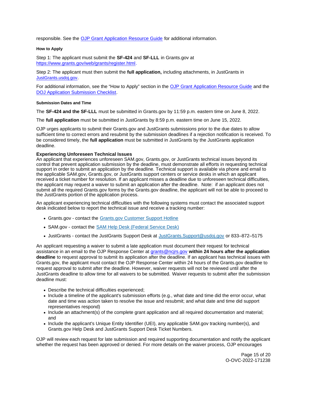<span id="page-16-0"></span>responsible. See the [OJP Grant Application Resource Guide](https://www.ojp.gov/funding/apply/ojp-grant-application-resource-guide) for additional information.

# **How to Apply**

Step 1: The applicant must submit the **SF-424** and **SF-LLL** in [Grants.gov](https://Grants.gov) at [https://www.grants.gov/web/grants/register.html.](https://www.grants.gov/web/grants/register.html)

Step 2: The applicant must then submit the **full application,** including attachments, in JustGrants in [JustGrants.usdoj.gov.](https://justicegrants.usdoj.gov/)

For additional information, see the "How to Apply" section in the [OJP Grant Application Resource Guide](https://www.ojp.gov/funding/apply/ojp-grant-application-resource-guide#apply) and the [DOJ Application Submission Checklist.](https://justicegrants.usdoj.gov/sites/g/files/xyckuh296/files/media/document/appln-submission-checklist.pdf)

# **Submission Dates and Time**

The **SF-424 and the SF-LLL** must be submitted in [Grants.gov](https://Grants.gov) by 11:59 p.m. eastern time on June 8, 2022.

The **full application** must be submitted in JustGrants by 8:59 p.m. eastern time on June 15, 2022.

OJP urges applicants to submit their [Grants.gov](https://Grants.gov) and JustGrants submissions prior to the due dates to allow sufficient time to correct errors and resubmit by the submission deadlines if a rejection notification is received. To be considered timely, the **full application** must be submitted in JustGrants by the JustGrants application deadline.

# **Experiencing Unforeseen Technical Issues**

An applicant that experiences unforeseen SAM.gov, [Grants.gov,](https://Grants.gov) or JustGrants technical issues beyond its control that prevent application submission by the deadline, must demonstrate all efforts in requesting technical support in order to submit an application by the deadline. Technical support is available via phone and email to the applicable SAM.gov, [Grants.gov,](https://Grants.gov) or JustGrants support centers or service desks in which an applicant received a ticket number for resolution. If an applicant misses a deadline due to unforeseen technical difficulties, the applicant may request a waiver to submit an application after the deadline. Note: if an applicant does not submit all the required [Grants.gov](https://Grants.gov) forms by the [Grants.gov](https://Grants.gov) deadline, the applicant will not be able to proceed to the JustGrants portion of the application process.

An applicant experiencing technical difficulties with the following systems must contact the associated support desk indicated below to report the technical issue and receive a tracking number:

- [Grants.gov](https://Grants.gov) contact the [Grants.gov Customer Support Hotline](https://www.grants.gov/web/grants/support.html)
- SAM.gov contact the [SAM Help Desk \(Federal Service Desk\)](https://www.fsd.gov/gsafsd_sp)
- JustGrants contact the JustGrants Support Desk at [JustGrants.Support@usdoj.gov](mailto:JustGrants.Support@usdoj.gov) or 833–872–5175

An applicant requesting a waiver to submit a late application must document their request for technical assistance in an email to the OJP Response Center at [grants@ncjrs.gov](file:///C:/Users/local_Yehj/INetCache/Content.Outlook/20U4XBR7/grants@ncjrs.gov) **within 24 hours after the application deadline** to request approval to submit its application after the deadline. If an applicant has technical issues with [Grants.gov,](https://Grants.gov) the applicant must contact the OJP Response Center within 24 hours of the [Grants.gov](https://Grants.gov) deadline to request approval to submit after the deadline. However, waiver requests will not be reviewed until after the JustGrants deadline to allow time for all waivers to be submitted. Waiver requests to submit after the submission deadline must:

- Describe the technical difficulties experienced;
- Include a timeline of the applicant's submission efforts (e.g., what date and time did the error occur, what date and time was action taken to resolve the issue and resubmit; and what date and time did support representatives respond)
- Include an attachment(s) of the complete grant application and all required documentation and material; and
- Include the applicant's Unique Entity Identifier (UEI), any applicable SAM.gov tracking number(s), and [Grants.gov](https://Grants.gov) Help Desk and JustGrants Support Desk Ticket Numbers.

OJP will review each request for late submission and required supporting documentation and notify the applicant whether the request has been approved or denied. For more details on the waiver process, OJP encourages

> Page 15 of 20 O-OVC-2022-171238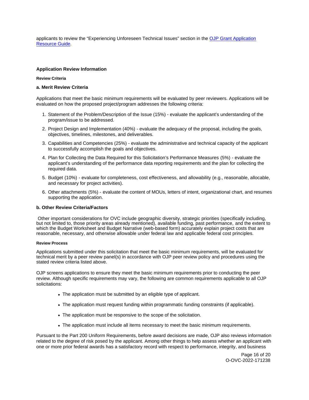<span id="page-17-0"></span>applicants to review the "Experiencing Unforeseen Technical Issues" section in the [OJP Grant Application](https://www.ojp.gov/funding/apply/ojp-grant-application-resource-guide#experiencing-unforeseen-technical-issues)  [Resource Guide](https://www.ojp.gov/funding/apply/ojp-grant-application-resource-guide#experiencing-unforeseen-technical-issues).

# **Application Review Information**

# **Review Criteria**

# **a. Merit Review Criteria**

Applications that meet the basic minimum requirements will be evaluated by peer reviewers. Applications will be evaluated on how the proposed project/program addresses the following criteria:

- 1. Statement of the Problem/Description of the Issue (15%) evaluate the applicant's understanding of the program/issue to be addressed.
- 2. Project Design and Implementation (40%) evaluate the adequacy of the proposal, including the goals, objectives, timelines, milestones, and deliverables.
- 3. Capabilities and Competencies (25%) evaluate the administrative and technical capacity of the applicant to successfully accomplish the goals and objectives.
- 4. Plan for Collecting the Data Required for this Solicitation's Performance Measures (5%) evaluate the applicant's understanding of the performance data reporting requirements and the plan for collecting the required data.
- 5. Budget (10%) evaluate for completeness, cost effectiveness, and allowability (e.g., reasonable, allocable, and necessary for project activities).
- 6. Other attachments (5%) evaluate the content of MOUs, letters of intent, organizational chart, and resumes supporting the application.

#### **b. Other Review Criteria/Factors**

Other important considerations for OVC include geographic diversity, strategic priorities (specifically including, but not limited to, those priority areas already mentioned), available funding, past performance, and the extent to which the Budget Worksheet and Budget Narrative (web-based form) accurately explain project costs that are reasonable, necessary, and otherwise allowable under federal law and applicable federal cost principles.

### **Review Process**

Applications submitted under this solicitation that meet the basic minimum requirements, will be evaluated for technical merit by a peer review panel(s) in accordance with OJP peer review policy and procedures using the stated review criteria listed above.

OJP screens applications to ensure they meet the basic minimum requirements prior to conducting the peer review. Although specific requirements may vary, the following are common requirements applicable to all OJP solicitations:

- The application must be submitted by an eligible type of applicant.
- The application must request funding within programmatic funding constraints (if applicable).
- The application must be responsive to the scope of the solicitation.
- The application must include all items necessary to meet the basic minimum requirements.

Pursuant to the Part 200 Uniform Requirements, before award decisions are made, OJP also reviews information related to the degree of risk posed by the applicant. Among other things to help assess whether an applicant with one or more prior federal awards has a satisfactory record with respect to performance, integrity, and business

> Page 16 of 20 O-OVC-2022-171238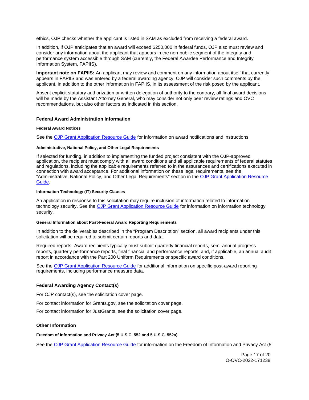<span id="page-18-0"></span>ethics, OJP checks whether the applicant is listed in SAM as excluded from receiving a federal award.

In addition, if OJP anticipates that an award will exceed \$250,000 in federal funds, OJP also must review and consider any information about the applicant that appears in the non-public segment of the integrity and performance system accessible through SAM (currently, the Federal Awardee Performance and Integrity Information System, FAPIIS).

**Important note on FAPIIS:** An applicant may review and comment on any information about itself that currently appears in FAPIIS and was entered by a federal awarding agency. OJP will consider such comments by the applicant, in addition to the other information in FAPIIS, in its assessment of the risk posed by the applicant.

Absent explicit statutory authorization or written delegation of authority to the contrary, all final award decisions will be made by the Assistant Attorney General, who may consider not only peer review ratings and OVC recommendations, but also other factors as indicated in this section.

### **Federal Award Administration Information**

#### **Federal Award Notices**

See the [OJP Grant Application Resource Guide](https://www.ojp.gov/funding/apply/ojp-grant-application-resource-guide#federal-award-notices) for information on award notifications and instructions.

#### **Administrative, National Policy, and Other Legal Requirements**

If selected for funding, in addition to implementing the funded project consistent with the OJP-approved application, the recipient must comply with all award conditions and all applicable requirements of federal statutes and regulations, including the applicable requirements referred to in the assurances and certifications executed in connection with award acceptance. For additional information on these legal requirements, see the "Administrative, National Policy, and Other Legal Requirements" section in the [OJP Grant Application Resource](https://www.ojp.gov/funding/apply/ojp-grant-application-resource-guide#administrative)  [Guide.](https://www.ojp.gov/funding/apply/ojp-grant-application-resource-guide#administrative)

#### **Information Technology (IT) Security Clauses**

An application in response to this solicitation may require inclusion of information related to information technology security. See the [OJP Grant Application Resource Guide](https://www.ojp.gov/funding/apply/ojp-grant-application-resource-guide#information-technology) for information on information technology security.

# **General Information about Post-Federal Award Reporting Requirements**

In addition to the deliverables described in the "Program Description" section, all award recipients under this solicitation will be required to submit certain reports and data.

Required reports. Award recipients typically must submit quarterly financial reports, semi-annual progress reports, quarterly performance reports, final financial and performance reports, and, if applicable, an annual audit report in accordance with the Part 200 Uniform Requirements or specific award conditions.

See the [OJP Grant Application Resource Guide](https://www.ojp.gov/funding/apply/ojp-grant-application-resource-guide#general-information) for additional information on specific post-award reporting requirements, including performance measure data.

#### **Federal Awarding Agency Contact(s)**

For OJP contact(s), see the solicitation cover page.

For contact information for [Grants.gov](https://Grants.gov), see the solicitation cover page.

For contact information for JustGrants, see the solicitation cover page.

# **Other Information**

**Freedom of Information and Privacy Act (5 U.S.C. 552 and 5 U.S.C. 552a)** 

See the [OJP Grant Application Resource Guide](https://www.ojp.gov/funding/apply/ojp-grant-application-resource-guide#foia) for information on the Freedom of Information and Privacy Act (5

Page 17 of 20 O-OVC-2022-171238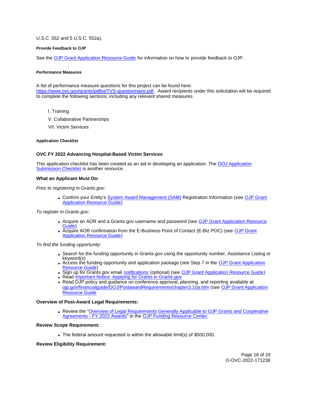# <span id="page-19-0"></span>U.S.C. 552 and 5 U.S.C. 552a).

# **Provide Feedback to OJP**

See the [OJP Grant Application Resource Guide](https://www.ojp.gov/funding/apply/ojp-grant-application-resource-guide#feedback) for information on how to provide feedback to OJP.

#### **Performance Measures**

A list of performance measure questions for this project can be found here:

[https://www.ovc.gov/grants/pdftxt/TVS-questionnaire.pdf.](https://www.ovc.gov/grants/pdftxt/TVS-questionnaire.pdf) Award recipients under this solicitation will be required to complete the following sections, including any relevant shared measures.

- I. Training
- V. Collaborative Partnerships
- VII. Victim Services

# **Application Checklist**

# **OVC FY 2022 Advancing Hospital-Based Victim Services**

This application checklist has been created as an aid in developing an application. The [DOJ Application](https://justicegrants.usdoj.gov/sites/g/files/xyckuh296/files/media/document/appln-submission-checklist.pdf)  [Submission Checklist](https://justicegrants.usdoj.gov/sites/g/files/xyckuh296/files/media/document/appln-submission-checklist.pdf) is another resource.

# **What an Applicant Must Do:**

Prior to registering in [Grants.gov](https://Grants.gov):

• Confirm your Entity's [System Award Management \(SAM\)](https://sam.gov/SAM/) Registration Information (see OJP Grant [Application Resource Guide\)](https://www.ojp.gov/funding/apply/ojp-grant-application-resource-guide#apply)

To register in [Grants.gov](https://Grants.gov):

- Acquire an AOR and a [Grants.gov](https://Grants.gov) username and password (see OJP Grant Application Resource [Guide\)](https://www.ojp.gov/funding/apply/ojp-grant-application-resource-guide#apply)
- Acquire AOR confirmation from the E-Business Point of Contact (E-Biz POC) (see OJP Grant [Application Resource Guide\)](https://www.ojp.gov/funding/apply/ojp-grant-application-resource-guide#apply)

### To find the funding opportunity:

- Search for the funding opportunity in [Grants.gov](https://Grants.gov) using the opportunity number, Assistance Listing or keyword(s)
- Access the funding opportunity and application package (see Step 7 in the [OJP Grant Application](https://www.ojp.gov/funding/apply/ojp-grant-application-resource-guide#apply)  [Resource Guide\)](https://www.ojp.gov/funding/apply/ojp-grant-application-resource-guide#apply)
- Sign up for [Grants.gov](https://Grants.gov) email [notifications](https://www.grants.gov/web/grants/manage-subscriptions.html) (optional) (see [OJP Grant Application Resource Guide\)](https://www.ojp.gov/funding/apply/ojp-grant-application-resource-guide#apply)
- Read Important Notice: Applying for Grants in Grants.gov
- Read OJP policy and guidance on conference approval, planning, and reporting available at [ojp.gov/financialguide/DOJ/PostawardRequirements/chapter3.10a.htm](https://ojp.gov/financialguide/DOJ/PostawardRequirements/chapter3.10a.htm) (see [OJP Grant Application](https://www.ojp.gov/funding/apply/ojp-grant-application-resource-guide#prior-approval)  [Resource Guide](https://www.ojp.gov/funding/apply/ojp-grant-application-resource-guide#prior-approval)

#### **Overview of Post-Award Legal Requirements:**

• Review the "Overview of Legal Requirements Generally Applicable to OJP Grants and Cooperative [Agreements - FY 2022 Awards"](https://www.ojp.gov/funding/explore/legal-overview-awards) in the [OJP Funding Resource Center.](https://www.ojp.gov/funding/explore/legal-overview-awards)

### **Review Scope Requirement:**

The federal amount requested is within the allowable limit(s) of \$500,000.

# **Review Eligibility Requirement:**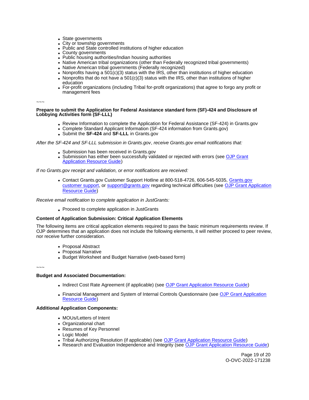- State governments
- City or township governments
- Public and State controlled institutions of higher education
- County governments
- Public housing authorities/Indian housing authorities
- Native American tribal organizations (other than Federally recognized tribal governments)
- Native American tribal governments (Federally recognized)
- Nonprofits having a  $501(c)(3)$  status with the IRS, other than institutions of higher education
- Nonprofits that do not have a  $501(c)(3)$  status with the IRS, other than institutions of higher education
- For-profit organizations (including Tribal for-profit organizations) that agree to forgo any profit or management fees

~~~

**Prepare to submit the Application for Federal Assistance standard form (SF)-424 and Disclosure of Lobbying Activities form (SF-LLL)** 

- Review Information to complete the Application for Federal Assistance (SF-424) in [Grants.gov](https://Grants.gov)
- Complete Standard Applicant Information (SF-424 information from [Grants.gov\)](https://Grants.gov)
- Submit the **SF-424** and **SF-LLL** in [Grants.gov](https://Grants.gov)

After the SF-424 and SF-LLL submission in [Grants.gov](https://Grants.gov), receive [Grants.gov](https://Grants.gov) email notifications that:

- Submission has been received in Grants.gov
- Submission has either been successfully validated or rejected with errors (see OJP Grant [Application Resource Guide\)](https://www.ojp.gov/funding/apply/ojp-grant-application-resource-guide#apply)

If no [Grants.gov](https://Grants.gov) receipt and validation, or error notifications are received:

Contact [Grants.gov](https://Grants.gov) Customer Support Hotline at 800-518-4726, 606-545-5035, [Grants.gov](https://www.grants.gov/web/grants/support.html)  [customer support,](https://www.grants.gov/web/grants/support.html) or [support@grants.gov](mailto:support@grants.gov) regarding technical difficulties (see [OJP Grant Application](https://www.ojp.gov/funding/apply/ojp-grant-application-resource-guide#apply)  [Resource Guide\)](https://www.ojp.gov/funding/apply/ojp-grant-application-resource-guide#apply)

Receive email notification to complete application in JustGrants:

Proceed to complete application in JustGrants

# **Content of Application Submission: Critical Application Elements**

The following items are critical application elements required to pass the basic minimum requirements review. If OJP determines that an application does not include the following elements, it will neither proceed to peer review, nor receive further consideration.

- Proposal Abstract
- Proposal Narrative
- Budget Worksheet and Budget Narrative (web-based form)

~~~

# **Budget and Associated Documentation:**

- Indirect Cost Rate Agreement (if applicable) (see [OJP Grant Application Resource Guide\)](https://www.ojp.gov/funding/apply/ojp-grant-application-resource-guide#indirect-cost)
- Financial Management and System of Internal Controls Questionnaire (see [OJP Grant Application](https://www.ojp.gov/funding/apply/ojp-grant-application-resource-guide#fm-internal-controls-questionnaire)  [Resource Guide\)](https://www.ojp.gov/funding/apply/ojp-grant-application-resource-guide#fm-internal-controls-questionnaire)

# **Additional Application Components:**

- MOUs/Letters of Intent
- Organizational chart
- Resumes of Key Personnel
- Logic Model
- Tribal Authorizing Resolution (if applicable) (see [OJP Grant Application Resource Guide\)](https://www.ojp.gov/funding/apply/ojp-grant-application-resource-guide#tribal-authorizing-resolution)
- Research and Evaluation Independence and Integrity (see [OJP Grant Application Resource Guide\)](https://www.ojp.gov/funding/apply/ojp-grant-application-resource-guide#research-evaluation)

Page 19 of 20 O-OVC-2022-171238